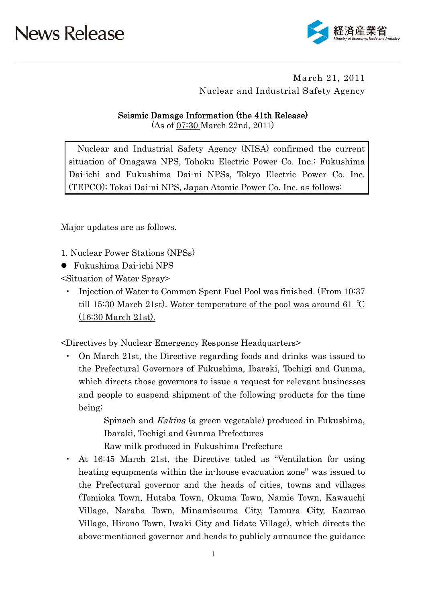

March 21, 2011 Nuclear and Industrial Safety Agency

#### Seismic Damage Information (the 41th Release)

 $(As of 07:30 March 22nd, 2011)$ 

Nuclear and Industrial Safety Agency (NISA) confirmed the current situation of Onagawa NPS, Tohoku Electric Power Co. Inc.; Fukushima Dai-ichi and Fukushima Dai-ni NPSs, Tokyo Electric Power Co. Inc. (TEPCO); Tokai Dai-ni NPS, Japan Atomic Power Co. Inc. as follows:

Major updates are as follows.

1. Nuclear Power Stations (NPSs)

• Fukushima Dai-ichi NPS

<Situation of Water Spray>

Injection of Water to Common Spent Fuel Pool was finished. (From 10:37 till 15:30 March 21st). Water temperature of the pool was around 61  $\degree$ C  $(16:30 \text{ March } 21 \text{st})$ .

<Directives by Nuclear Emergency Response Headquarters>

On March 21st, the Directive regarding foods and drinks was issued to the Prefectural Governors of Fukushima, Ibaraki, Tochigi and Gunma, which directs those governors to issue a request for relevant businesses and people to suspend shipment of the following products for the time being;

> Spinach and *Kakina* (a green vegetable) produced in Fukushima, Ibaraki, Tochigi and Gunma Prefectures

Raw milk produced in Fukushima Prefecture

At 16:45 March 21st, the Directive titled as "Ventilation for using heating equipments within the in-house evacuation zone" was issued to the Prefectural governor and the heads of cities, towns and villages (Tomioka Town, Hutaba Town, Okuma Town, Namie Town, Kawauchi Village, Naraha Town, Minamisouma City, Tamura City, Kazurao Village, Hirono Town, Iwaki City and Iidate Village), which directs the above mentioned governor and heads to publicly announce the guidance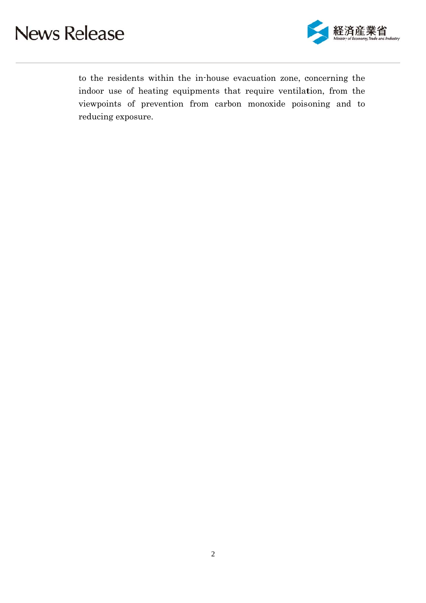

to the residents within the in-house evacuation zone, concerning the indoor use of heating equipments that require ventilation, from the viewpoints of prevention from carbon monoxide poisoning and to reducing exposure.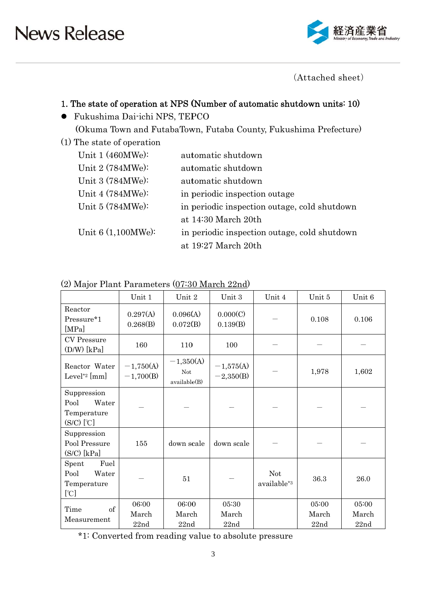

(Attached sheet)

### 1. The state of operation at NPS (Number of automatic shutdown units: 10)

- · Fukushima Dai-ichi NPS, TEPCO (Okuma Town and FutabaTown, Futaba County, Fukushima Prefecture)
- (1) The state of operation

| Unit $1(460MWe)$ : | automatic shutdown                           |
|--------------------|----------------------------------------------|
| Unit 2 (784MWe):   | automatic shutdown                           |
| Unit 3 (784MWe):   | automatic shutdown                           |
| Unit 4 (784MWe):   | in periodic inspection outage                |
| Unit 5 (784MWe):   | in periodic inspection outage, cold shutdown |
|                    | at 14:30 March 20th                          |
| Unit 6 (1,100MWe): | in periodic inspection outage, cold shutdown |
|                    | at 19:27 March 20th                          |

|                                                             | Unit 1                     | Unit 2                                    | Unit 3                     | Unit 4                                | Unit 5                 | Unit 6                 |  |
|-------------------------------------------------------------|----------------------------|-------------------------------------------|----------------------------|---------------------------------------|------------------------|------------------------|--|
| Reactor<br>Pressure*1<br>[MPa]                              | 0.297(A)<br>0.268(B)       | 0.096(A)<br>0.072(B)                      | 0.000(C)<br>0.139(B)       |                                       | 0.108                  | 0.106                  |  |
| <b>CV</b> Pressure<br>$(D/W)$ [kPa]                         | 160                        | 110                                       | 100                        |                                       |                        |                        |  |
| Reactor Water<br>Level <sup>*2</sup> [mm]                   | $-1,750(A)$<br>$-1,700(B)$ | $-1,350(A)$<br><b>Not</b><br>available(B) | $-1,575(A)$<br>$-2,350(B)$ |                                       | 1,978                  | 1,602                  |  |
| Suppression<br>Pool<br>Water<br>Temperature<br>$(S/C)$ [°C] |                            |                                           |                            |                                       |                        |                        |  |
| Suppression<br>Pool Pressure<br>$(S/C)$ [kPa]               | 155                        | down scale                                | down scale                 |                                       |                        |                        |  |
| Fuel<br>Spent<br>Pool<br>Water<br>Temperature<br>[°C]       |                            | 51                                        |                            | <b>Not</b><br>available* <sup>3</sup> | 36.3                   | 26.0                   |  |
| $\sigma$<br>Time<br>Measurement                             | 06:00<br>March<br>22nd     | 06:00<br>March<br>22nd                    | 05:30<br>March<br>22nd     |                                       | 05:00<br>March<br>22nd | 05:00<br>March<br>22nd |  |

#### (2) Major Plant Parameters (07:30 March 22nd)

\*1: Converted from reading value to absolute pressure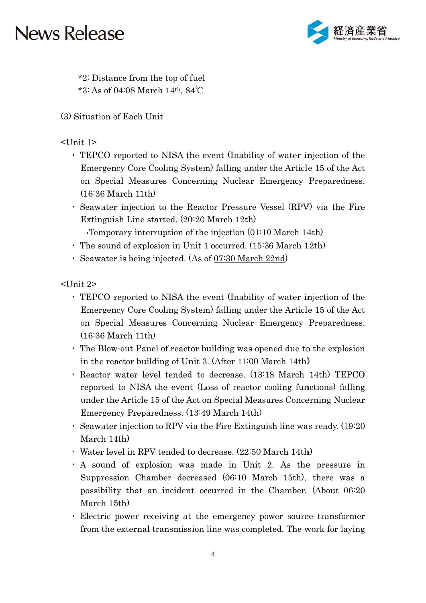

\*2: Distance from the top of fuel \*3: As of 04:08 March  $14<sup>th</sup>$ , 84°C

(3) Situation of Each Unit

### $<$ Unit 1 $>$

- TEPCO reported to NISA the event (Inability of water injection of the Emergency Core Cooling System) falling under the Article 15 of the Act on Special Measures Concerning Nuclear Emergency Preparedness.  $(16:36 \text{ March } 11 \text{th})$
- Seawater injection to the Reactor Pressure Vessel (RPV) via the Fire Extinguish Line started. (20:20 March 12th)

 $\rightarrow$ Temporary interruption of the injection (01:10 March 14th)

- The sound of explosion in Unit 1 occurred. (15:36 March 12th)
- · Seawater is being injected. (As of 07:30 March 22nd)

 $\langle$ Unit 2>

- TEPCO reported to NISA the event (Inability of water injection of the Emergency Core Cooling System) falling under the Article 15 of the Act on Special Measures Concerning Nuclear Emergency Preparedness.  $(16:36 \text{ March } 11 \text{th})$
- The Blow-out Panel of reactor building was opened due to the explosion in the reactor building of Unit 3. (After 11:00 March 14th)
- Reactor water level tended to decrease. (13:18 March 14th) TEPCO reported to NISA the event (Loss of reactor cooling functions) falling under the Article 15 of the Act on Special Measures Concerning Nuclear Emergency Preparedness. (13:49 March 14th)
- Seawater injection to RPV via the Fire Extinguish line was ready. (19:20) March 14th)
- Water level in RPV tended to decrease. (22:50 March 14th)
- A sound of explosion was made in Unit 2. As the pressure in Suppression Chamber decreased (06:10 March 15th), there was a possibility that an incident occurred in the Chamber. (About 06:20) March 15th)
- Electric power receiving at the emergency power source transformer from the external transmission line was completed. The work for laying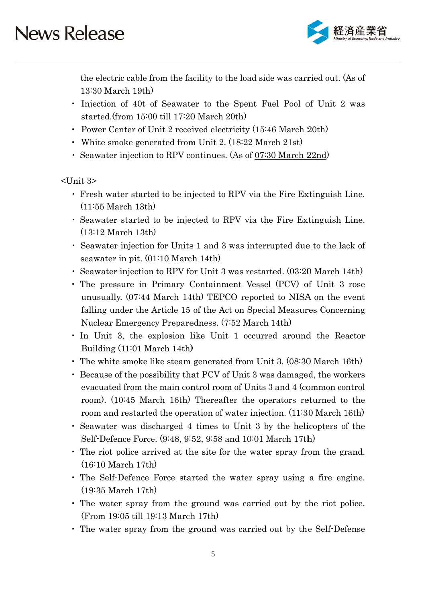

the electric cable from the facility to the load side was carried out. (As of 13:30 March 19th)

- Injection of 40t of Seawater to the Spent Fuel Pool of Unit 2 was started.(from 15:00 till 17:20 March 20th)
- Power Center of Unit 2 received electricity (15:46 March 20th)
- White smoke generated from Unit 2. (18:22 March 21st)
- Seawater injection to RPV continues. (As of 07:30 March 22nd)

 $\mathsf{L}$ Unit 3>

- Fresh water started to be injected to RPV via the Fire Extinguish Line.  $(11:55 \text{ March } 13th)$
- Seawater started to be injected to RPV via the Fire Extinguish Line.  $(13:12 \text{ March } 13th)$
- Seawater injection for Units 1 and 3 was interrupted due to the lack of seawater in pit.  $(01:10 \text{ March } 14 \text{th})$
- Seawater injection to RPV for Unit 3 was restarted. (03:20 March 14th)
- The pressure in Primary Containment Vessel (PCV) of Unit 3 rose unusually. (07:44 March 14th) TEPCO reported to NISA on the event falling under the Article 15 of the Act on Special Measures Concerning Nuclear Emergency Preparedness. (7:52 March 14th)
- In Unit 3, the explosion like Unit 1 occurred around the Reactor Building (11:01 March 14th)
- The white smoke like steam generated from Unit 3. (08:30 March 16th)
- Because of the possibility that PCV of Unit 3 was damaged, the workers evacuated from the main control room of Units 3 and 4 (common control room). (10:45 March 16th) Thereafter the operators returned to the room and restarted the operation of water injection. (11:30 March 16th)
- Seawater was discharged 4 times to Unit 3 by the helicopters of the Self-Defence Force. (9:48, 9:52, 9:58 and 10:01 March 17th)
- The riot police arrived at the site for the water spray from the grand.  $(16:10 \text{ March } 17 \text{th})$
- The Self-Defence Force started the water spray using a fire engine.  $(19:35 \text{ March } 17th)$
- The water spray from the ground was carried out by the riot police.  $(From 19:05$  till 19:13 March 17th)
- The water spray from the ground was carried out by the Self-Defense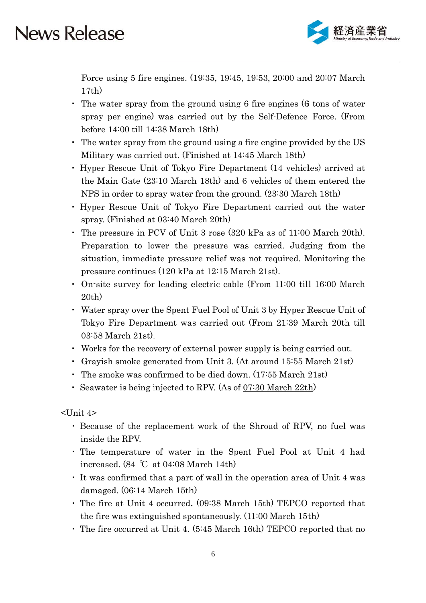

Force using 5 fire engines. (19:35, 19:45, 19:53, 20:00 and 20:07 March  $17th)$ 

- The water spray from the ground using 6 fire engines (6 tons of water spray per engine) was carried out by the Self-Defence Force. (From before  $14:00$  till  $14:38$  March  $18th$ )
- The water spray from the ground using a fire engine provided by the US Military was carried out. (Finished at 14:45 March 18th)
- Hyper Rescue Unit of Tokyo Fire Department (14 vehicles) arrived at the Main Gate (23:10 March 18th) and 6 vehicles of them entered the NPS in order to spray water from the ground. (23:30 March 18th)
- Hyper Rescue Unit of Tokyo Fire Department carried out the water spray. (Finished at 03:40 March 20th)
- The pressure in PCV of Unit 3 rose (320 kPa as of 11:00 March 20th). Preparation to lower the pressure was carried. Judging from the situation, immediate pressure relief was not required. Monitoring the pressure continues (120 kPa at 12:15 March 21st).
- On-site survey for leading electric cable (From 11:00 till 16:00 March  $20th)$
- Water spray over the Spent Fuel Pool of Unit 3 by Hyper Rescue Unit of Tokyo Fire Department was carried out (From 21:39 March 20th till  $03:58$  March  $21st$ .
- Works for the recovery of external power supply is being carried out.
- Gravish smoke generated from Unit 3. (At around 15:55 March 21st)
- $\cdot$  The smoke was confirmed to be died down. (17:55 March 21st)
- Seawater is being injected to RPV. (As of 07:30 March 22th)

 $\langle$ Unit 4>

- Because of the replacement work of the Shroud of RPV, no fuel was inside the RPV.
- . The temperature of water in the Spent Fuel Pool at Unit 4 had increased.  $(84 °C at 04:08 March 14th)$
- It was confirmed that a part of wall in the operation area of Unit 4 was damaged. (06:14 March 15th)
- The fire at Unit 4 occurred. (09:38 March 15th) TEPCO reported that the fire was extinguished spontaneously.  $(11:00 \text{ March } 15 \text{th})$
- The fire occurred at Unit 4. (5:45 March 16th) TEPCO reported that no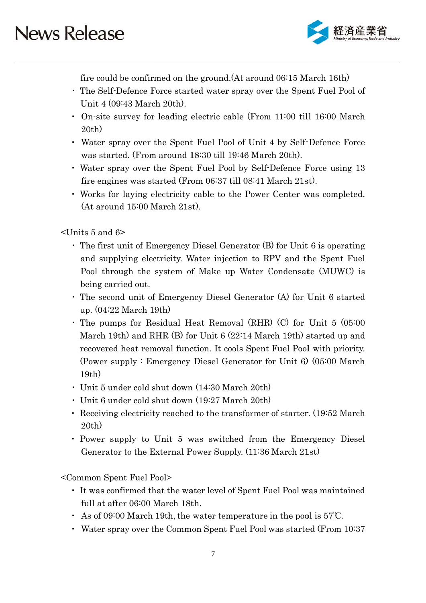

fire could be confirmed on the ground. (At around 06:15 March 16th)

- The Self-Defence Force started water spray over the Spent Fuel Pool of Unit 4 (09:43 March 20th).
- On-site survey for leading electric cable (From 11:00 till 16:00 March  $20th)$
- Water spray over the Spent Fuel Pool of Unit 4 by Self-Defence Force was started. (From around 18:30 till 19:46 March 20th).
- Water spray over the Spent Fuel Pool by Self-Defence Force using 13 fire engines was started (From 06:37 till 08:41 March 21st).
- Works for laying electricity cable to the Power Center was completed.  $(At around 15:00 March 21st).$

 $\sim$ Units 5 and 6>

- $\cdot$  The first unit of Emergency Diesel Generator (B) for Unit 6 is operating and supplying electricity. Water injection to RPV and the Spent Fuel Pool through the system of Make up Water Condensate (MUWC) is being carried out.
- The second unit of Emergency Diesel Generator (A) for Unit 6 started up.  $(04:22 \text{ March } 19 \text{th})$
- The pumps for Residual Heat Removal (RHR) (C) for Unit  $5(05:00)$ March 19th) and RHR (B) for Unit  $6(22.14 \text{ March } 19 \text{th})$  started up and recovered heat removal function. It cools Spent Fuel Pool with priority. (Power supply: Emergency Diesel Generator for Unit 6) (05:00 March)  $19th)$
- · Unit 5 under cold shut down (14:30 March 20th)
- Unit 6 under cold shut down (19:27 March 20th)
- Receiving electricity reached to the transformer of starter. (19:52 March  $20th)$
- Power supply to Unit 5 was switched from the Emergency Diesel Generator to the External Power Supply. (11:36 March 21st)

<Common Spent Fuel Pool>

- It was confirmed that the water level of Spent Fuel Pool was maintained full at after 06:00 March 18th.
- As of 09:00 March 19th, the water temperature in the pool is  $57^{\circ}$ C.
- Water spray over the Common Spent Fuel Pool was started (From 10:37)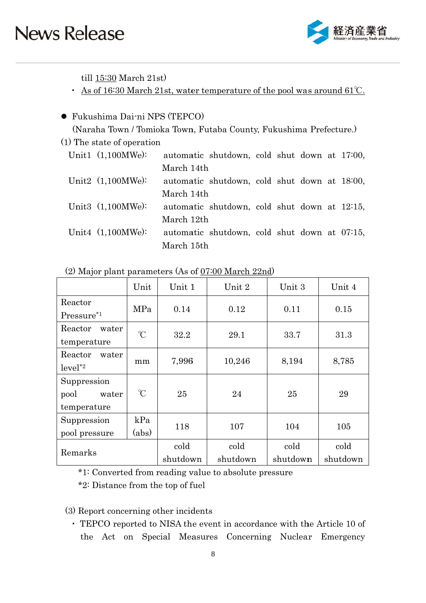

till  $15:30$  March  $21st$ 

• As of 16:30 March 21st, water temperature of the pool was around  $61^{\circ}$ C.

#### • Fukushima Dai-ni NPS (TEPCO)

(Naraha Town / Tomioka Town, Futaba County, Fukushima Prefecture.)

#### (1) The state of operation

| Unit1 $(1,100MWe)$ : |            | automatic shutdown, cold shut down at 17:00, |  |  |  |
|----------------------|------------|----------------------------------------------|--|--|--|
|                      | March 14th |                                              |  |  |  |
| Unit2 $(1,100MWe)$ : |            | automatic shutdown, cold shut down at 18:00, |  |  |  |
|                      | March 14th |                                              |  |  |  |
| Unit3 $(1,100MWe)$ : |            | automatic shutdown, cold shut down at 12:15, |  |  |  |
|                      | March 12th |                                              |  |  |  |
| Unit4 $(1,100MWe)$ : |            | automatic shutdown, cold shut down at 07:15, |  |  |  |
|                      | March 15th |                                              |  |  |  |

|                                             | Unit          | Unit 1           | Unit 2           | Unit 3           | Unit 4           |
|---------------------------------------------|---------------|------------------|------------------|------------------|------------------|
| Reactor<br>Pressure <sup>*1</sup>           | MPa           | 0.14             | 0.12             | 0.11             | 0.15             |
| Reactor<br>water<br>temperature             | $\gamma$      | 32.2             | 29.1             | 33.7             | 31.3             |
| Reactor<br>water<br>$level^*2$              | mm            | 7,996            | 10,246           | 8,194            | 8,785            |
| Suppression<br>pool<br>water<br>temperature | $\mathcal{C}$ | 25               | 24               | 25               | 29               |
| Suppression<br>pool pressure                | kPa<br>(abs)  | 118              | 107              | 104              | 105              |
| Remarks                                     |               | cold<br>shutdown | cold<br>shutdown | cold<br>shutdown | cold<br>shutdown |

(2) Major plant parameters (As of 07:00 March 22nd)

\*1: Converted from reading value to absolute pressure

\*2: Distance from the top of fuel

(3) Report concerning other incidents

• TEPCO reported to NISA the event in accordance with the Article 10 of the Act on Special Measures Concerning Nuclear Emergency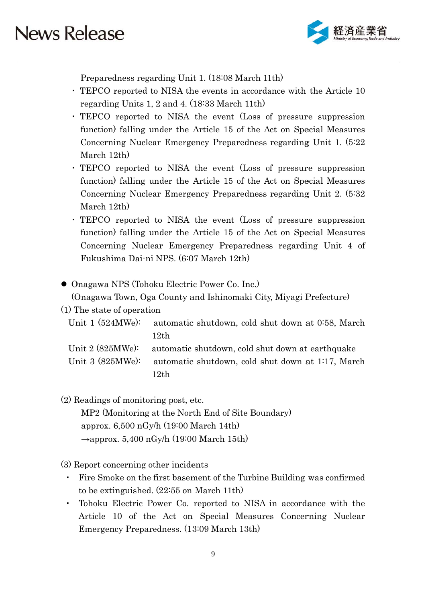

Preparedness regarding Unit 1. (18:08 March 11th)

- TEPCO reported to NISA the events in accordance with the Article 10 regarding Units 1, 2 and 4. (18:33 March 11th)
- TEPCO reported to NISA the event (Loss of pressure suppression function) falling under the Article 15 of the Act on Special Measures Concerning Nuclear Emergency Preparedness regarding Unit 1. (5:22) March 12th)
- TEPCO reported to NISA the event (Loss of pressure suppression function) falling under the Article 15 of the Act on Special Measures Concerning Nuclear Emergency Preparedness regarding Unit 2. (5:32) March 12th)
- TEPCO reported to NISA the event (Loss of pressure suppression function) falling under the Article 15 of the Act on Special Measures Concerning Nuclear Emergency Preparedness regarding Unit 4 of Fukushima Dai-ni NPS. (6:07 March 12th)
- Onagawa NPS (Tohoku Electric Power Co. Inc.)

(Onagawa Town, Oga County and Ishinomaki City, Miyagi Prefecture)

(1) The state of operation

| Unit 1 $(524\text{MWe})$ : automatic shutdown, cold shut down at 0.58, March |
|------------------------------------------------------------------------------|
| 12th                                                                         |
| Unit 2 (825MWe): automatic shutdown, cold shut down at earthquake            |

Unit  $3(825MWe)$ : automatic shutdown, cold shut down at 1:17, March  $12th$ 

(2) Readings of monitoring post, etc.

MP2 (Monitoring at the North End of Site Boundary) approx.  $6,500$  nGy/h  $(19:00$  March 14th)  $\rightarrow$ approx. 5,400 nGy/h (19:00 March 15th)

- (3) Report concerning other incidents
	- Fire Smoke on the first basement of the Turbine Building was confirmed to be extinguished.  $(22:55$  on March 11th)
	- Tohoku Electric Power Co. reported to NISA in accordance with the Article 10 of the Act on Special Measures Concerning Nuclear Emergency Preparedness. (13:09 March 13th)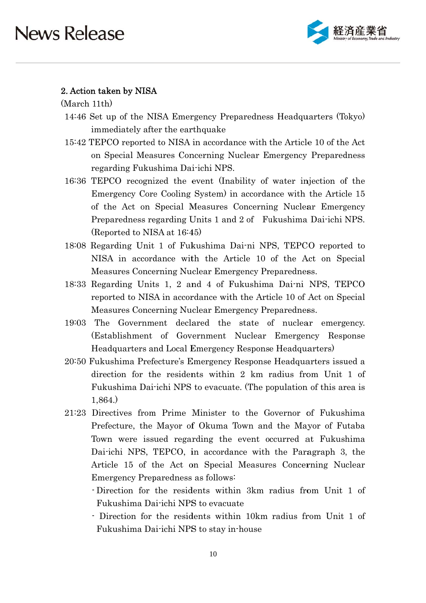

#### 2. Action taken by NISA

(March 11th)

- 14:46 Set up of the NISA Emergency Preparedness Headquarters (Tokyo) immediately after the earthquake
- 15:42 TEPCO reported to NISA in accordance with the Article 10 of the Act on Special Measures Concerning Nuclear Emergency Preparedness regarding Fukushima Dai-ichi NPS.
- 16:36 TEPCO recognized the event (Inability of water injection of the Emergency Core Cooling System) in accordance with the Article 15 of the Act on Special Measures Concerning Nuclear Emergency Preparedness regarding Units 1 and 2 of Fukushima Dai-ichi NPS. (Reported to NISA at 16:45)
- 18:08 Regarding Unit 1 of Fukushima Dai-ni NPS, TEPCO reported to NISA in accordance with the Article 10 of the Act on Special Measures Concerning Nuclear Emergency Preparedness.
- 18:33 Regarding Units 1, 2 and 4 of Fukushima Dai-ni NPS, TEPCO reported to NISA in accordance with the Article 10 of Act on Special Measures Concerning Nuclear Emergency Preparedness.
- 19:03 The Government declared the state of nuclear emergency. (Establishment of Government Nuclear Emergency Response Headquarters and Local Emergency Response Headquarters)
- 20:50 Fukushima Prefecture's Emergency Response Headquarters issued a direction for the residents within 2 km radius from Unit 1 of Fukushima Dai-ichi NPS to evacuate. (The population of this area is  $1,864.$
- 21:23 Directives from Prime Minister to the Governor of Fukushima Prefecture, the Mayor of Okuma Town and the Mayor of Futaba Town were issued regarding the event occurred at Fukushima Dai-ichi NPS, TEPCO, in accordance with the Paragraph 3, the Article 15 of the Act on Special Measures Concerning Nuclear Emergency Preparedness as follows:
	- Direction for the residents within 3km radius from Unit 1 of Fukushima Dai-ichi NPS to evacuate
	- Direction for the residents within 10km radius from Unit 1 of Fukushima Dai-ichi NPS to stay in-house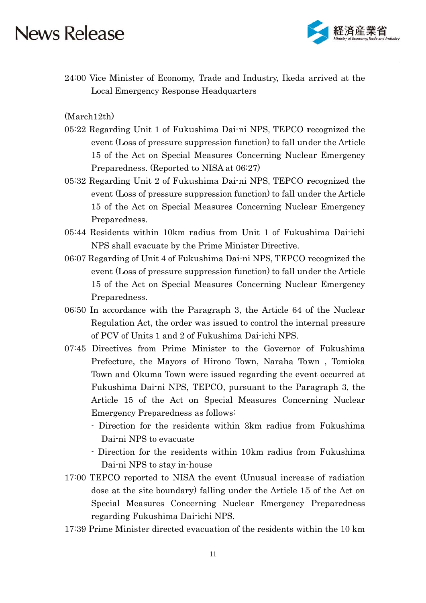

24:00 Vice Minister of Economy, Trade and Industry, Ikeda arrived at the **Local Emergency Response Headquarters** 

 $(March12th)$ 

- 05:22 Regarding Unit 1 of Fukushima Dai-ni NPS, TEPCO recognized the event (Loss of pressure suppression function) to fall under the Article 15 of the Act on Special Measures Concerning Nuclear Emergency Preparedness. (Reported to NISA at 06:27)
- 05:32 Regarding Unit 2 of Fukushima Dai-ni NPS, TEPCO recognized the event (Loss of pressure suppression function) to fall under the Article 15 of the Act on Special Measures Concerning Nuclear Emergency Preparedness.
- 05:44 Residents within 10km radius from Unit 1 of Fukushima Dai-ichi NPS shall evacuate by the Prime Minister Directive.
- 06:07 Regarding of Unit 4 of Fukushima Dai-ni NPS, TEPCO recognized the event (Loss of pressure suppression function) to fall under the Article 15 of the Act on Special Measures Concerning Nuclear Emergency Preparedness.
- 06:50 In accordance with the Paragraph 3, the Article 64 of the Nuclear Regulation Act, the order was issued to control the internal pressure of PCV of Units 1 and 2 of Fukushima Dai-ichi NPS.
- 07:45 Directives from Prime Minister to the Governor of Fukushima Prefecture, the Mayors of Hirono Town, Naraha Town, Tomioka Town and Okuma Town were issued regarding the event occurred at Fukushima Dai-ni NPS, TEPCO, pursuant to the Paragraph 3, the Article 15 of the Act on Special Measures Concerning Nuclear Emergency Preparedness as follows:
	- Direction for the residents within 3km radius from Fukushima Dai-ni NPS to evacuate
	- Direction for the residents within 10km radius from Fukushima Dai-ni NPS to stay in-house
- 17:00 TEPCO reported to NISA the event (Unusual increase of radiation dose at the site boundary) falling under the Article 15 of the Act on Special Measures Concerning Nuclear Emergency Preparedness regarding Fukushima Dai-ichi NPS.
- 17:39 Prime Minister directed evacuation of the residents within the 10 km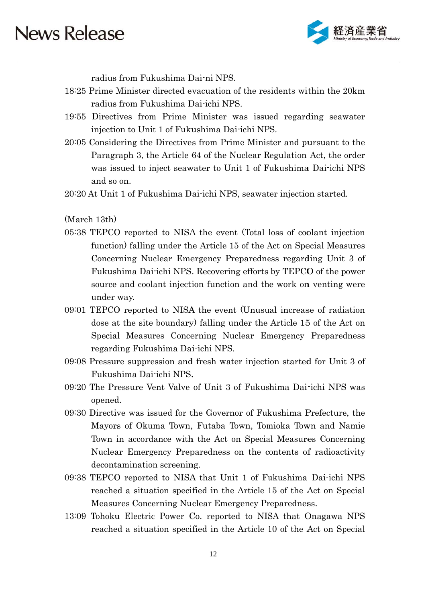

radius from Fukushima Dai-ni NPS.

- 18:25 Prime Minister directed evacuation of the residents within the 20 km radius from Fukushima Dai-ichi NPS.
- 19:55 Directives from Prime Minister was issued regarding seawater injection to Unit 1 of Fukushima Dai-ichi NPS.
- 20:05 Considering the Directives from Prime Minister and pursuant to the Paragraph 3, the Article 64 of the Nuclear Regulation Act, the order was issued to inject seawater to Unit 1 of Fukushima Dai-ichi NPS and so on.
- 20:20 At Unit 1 of Fukushima Dai-ichi NPS, seawater injection started.

(March 13th)

- 05:38 TEPCO reported to NISA the event (Total loss of coolant injection function) falling under the Article 15 of the Act on Special Measures Concerning Nuclear Emergency Preparedness regarding Unit 3 of Fukushima Dai-ichi NPS. Recovering efforts by TEPCO of the power source and coolant injection function and the work on venting were under way.
- 09:01 TEPCO reported to NISA the event (Unusual increase of radiation dose at the site boundary) falling under the Article 15 of the Act on Special Measures Concerning Nuclear Emergency Preparedness regarding Fukushima Dai-ichi NPS.
- 09:08 Pressure suppression and fresh water injection started for Unit 3 of Fukushima Dai-ichi NPS.
- 09:20 The Pressure Vent Valve of Unit 3 of Fukushima Dai-ichi NPS was opened.
- 09:30 Directive was issued for the Governor of Fukushima Prefecture, the Mayors of Okuma Town, Futaba Town, Tomioka Town and Namie Town in accordance with the Act on Special Measures Concerning Nuclear Emergency Preparedness on the contents of radioactivity decontamination screening.
- 09:38 TEPCO reported to NISA that Unit 1 of Fukushima Dai-ichi NPS reached a situation specified in the Article 15 of the Act on Special Measures Concerning Nuclear Emergency Preparedness.
- 13:09 Tohoku Electric Power Co. reported to NISA that Onagawa NPS reached a situation specified in the Article 10 of the Act on Special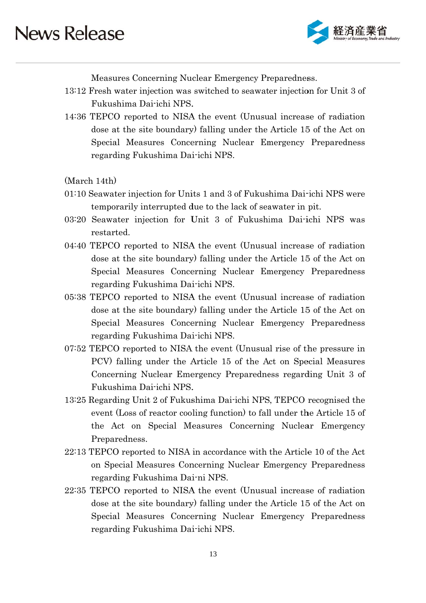

Measures Concerning Nuclear Emergency Preparedness.

- 13:12 Fresh water injection was switched to seawater injection for Unit 3 of Fukus shima Dai -ichi NPS. .
- 14:36 TEPCO reported to NISA the event (Unusual increase of radiation dose at the site boundary) falling under the Article 15 of the Act on Special Measures Concerning Nuclear Emergency Preparedness regarding Fukushima Dai-ichi NPS.

(Ma arch 14th)

- (March 14th)<br>01:10 Seawater injection for Units 1 and 3 of Fukushima Dai-ichi NPS were temporarily interrupted due to the lack of seawater in pit.
- 03:20 Seawater injection for Unit 3 of Fukushima Dai-ichi NPS was restar ted.
- 04:40 TEPCO reported to NISA the event (Unusual increase of radiation dose at the site boundary) falling under the Article 15 of the Act on Special Measures Concerning Nuclear Emergency Preparedness regarding Fukushima Dai-ichi NPS.
- 05:38 TEPCO reported to NISA the event (Unusual increase of radiation dose at the site boundary) falling under the Article 15 of the Act on Special Measures Concerning Nuclear Emergency Preparedness regarding Fukushima Dai-ichi NPS.
- 07:52 TEPCO reported to NISA the event (Unusual rise of the pressure in PCV) falling under the Article 15 of the Act on Special Measures Concerning Nuclear Emergency Preparedness regarding Unit 3 of Fukus shima Dai -ichi NPS. .
- 13:25 Regarding Unit 2 of Fukushima Dai-ichi NPS, TEPCO recognised the event (Loss of reactor cooling function) to fall under the Article 15 of the Act on Special Measures Concerning Nuclear Emergency Preparedness.
- 22:13 TEPCO reported to NISA in accordance with the Article 10 of the Act on Special Measures Concerning Nuclear Emergency Preparedness regarding Fukushima Dai-ni NPS.
- 22:35 TEPCO reported to NISA the event (Unusual increase of radiation dose at the site boundary) falling under the Article 15 of the Act on Special Measures Concerning Nuclear Emergency Preparedness regarding Fukushima Dai-ichi NPS.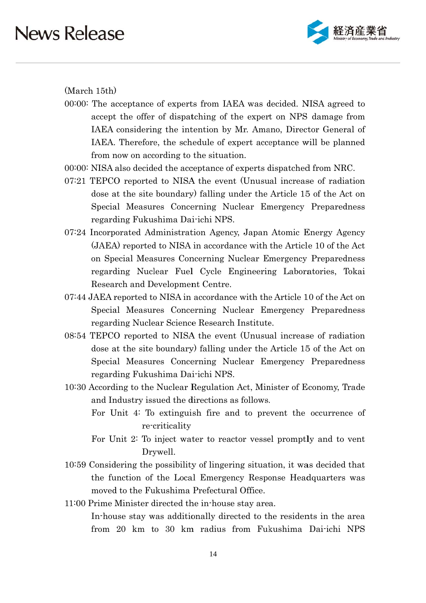

 $(March 15th)$ 

- 00:00: The acceptance of experts from IAEA was decided. NISA agreed to accept the offer of dispatching of the expert on NPS damage from IAEA considering the intention by Mr. Amano, Director General of IAEA. Therefore, the schedule of expert acceptance will be planned from now on according to the situation.
- 00:00: NISA also decided the acceptance of experts dispatched from NRC.
- 07:21 TEPCO reported to NISA the event (Unusual increase of radiation dose at the site boundary) falling under the Article 15 of the Act on Special Measures Concerning Nuclear Emergency Preparedness regarding Fukushima Dai-ichi NPS.
- 07:24 Incorporated Administration Agency, Japan Atomic Energy Agency (JAEA) reported to NISA in accordance with the Article 10 of the Act on Special Measures Concerning Nuclear Emergency Preparedness regarding Nuclear Fuel Cycle Engineering Laboratories, Tokai Research and Development Centre.
- 07:44 JAEA reported to NISA in accordance with the Article 10 of the Act on Special Measures Concerning Nuclear Emergency Preparedness regarding Nuclear Science Research Institute.
- 08:54 TEPCO reported to NISA the event (Unusual increase of radiation dose at the site boundary) falling under the Article 15 of the Act on Special Measures Concerning Nuclear Emergency Preparedness regarding Fukushima Dai-ichi NPS.
- 10:30 According to the Nuclear Regulation Act, Minister of Economy, Trade and Industry issued the directions as follows.
	- For Unit 4: To extinguish fire and to prevent the occurrence of re-criticality
	- For Unit 2: To inject water to reactor vessel promptly and to vent Drywell.
- 10:59 Considering the possibility of lingering situation, it was decided that the function of the Local Emergency Response Headquarters was moved to the Fukushima Prefectural Office.
- 11:00 Prime Minister directed the in-house stay area.

In-house stay was additionally directed to the residents in the area from 20 km to 30 km radius from Fukushima Dai-ichi NPS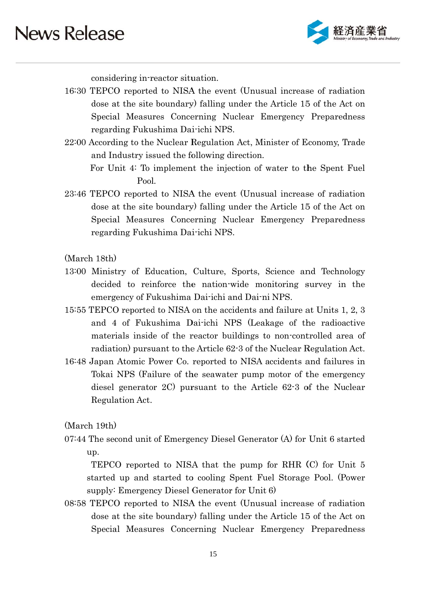

considering in-reactor situation.

- 16:30 TEPCO reported to NISA the event (Unusual increase of radiation dose at the site boundary) falling under the Article 15 of the Act on Special Measures Concerning Nuclear Emergency Preparedness regarding Fukushima Dai-ichi NPS.
- 22:00 According to the Nuclear Regulation Act, Minister of Economy, Trade and Industry issued the following direction.

For Unit 4: To implement the injection of water to the Spent Fuel Pool.

23:46 TEPCO reported to NISA the event (Unusual increase of radiation dose at the site boundary) falling under the Article 15 of the Act on Special Measures Concerning Nuclear Emergency Preparedness regarding Fukushima Dai-ichi NPS.

(March 18th)

- 13:00 Ministry of Education, Culture, Sports, Science and Technology decided to reinforce the nation-wide monitoring survey in the emergency of Fukushima Dai-ichi and Dai-ni NPS.
- 15:55 TEPCO reported to NISA on the accidents and failure at Units 1, 2, 3 and 4 of Fukushima Dai-ichi NPS (Leakage of the radioactive materials inside of the reactor buildings to non-controlled area of radiation) pursuant to the Article 62-3 of the Nuclear Regulation Act.
- 16:48 Japan Atomic Power Co. reported to NISA accidents and failures in Tokai NPS (Failure of the seawater pump motor of the emergency diesel generator  $2C$  pursuant to the Article  $62-3$  of the Nuclear Regulation Act.

 $(March 19th)$ 

07:44 The second unit of Emergency Diesel Generator (A) for Unit 6 started up.

TEPCO reported to NISA that the pump for RHR (C) for Unit 5 started up and started to cooling Spent Fuel Storage Pool. (Power supply: Emergency Diesel Generator for Unit 6)

08:58 TEPCO reported to NISA the event (Unusual increase of radiation dose at the site boundary) falling under the Article 15 of the Act on Special Measures Concerning Nuclear Emergency Preparedness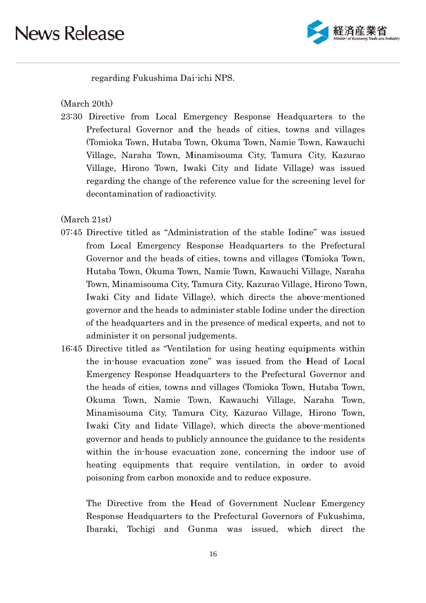

regarding Fukushima Dai-ichi NPS.

(March 20th)

23:30 Directive from Local Emergency Response Headquarters to the Prefectural Governor and the heads of cities, towns and villages (Tomioka Town, Hutaba Town, Okuma Town, Namie Town, Kawauchi Village, Naraha Town, Minamisouma City, Tamura City, Kazurao Village, Hirono Town, Iwaki City and Iidate Village) was issued regarding the change of the reference value for the screening level for decontamination of radioactivity.

(March 21st)

- 07:45 Directive titled as "Administration of the stable Iodine" was issued from Local Emergency Response Headquarters to the Prefectural Governor and the heads of cities, towns and villages (Tomioka Town, Hutaba Town, Okuma Town, Namie Town, Kawauchi Village, Naraha Town, Minamisouma City, Tamura City, Kazurao Village, Hirono Town, Iwaki City and Iidate Village), which directs the above-mentioned governor and the heads to administer stable Iodine under the direction of the headquarters and in the presence of medical experts, and not to administer it on personal judgements.
- 16:45 Directive titled as "Ventilation for using heating equipments within the in-house evacuation zone" was issued from the Head of Local Emergency Response Headquarters to the Prefectural Governor and the heads of cities, towns and villages (Tomioka Town, Hutaba Town, Okuma Town, Namie Town, Kawauchi Village, Naraha Town, Minamisouma City, Tamura City, Kazurao Village, Hirono Town, Iwaki City and Iidate Village), which directs the above-mentioned governor and heads to publicly announce the guidance to the residents within the in-house evacuation zone, concerning the indoor use of heating equipments that require ventilation, in order to avoid poisoning from carbon monoxide and to reduce exposure.

The Directive from the Head of Government Nuclear Emergency Response Headquarters to the Prefectural Governors of Fukushima, Ibaraki, Tochigi and Gunma was issued, which direct the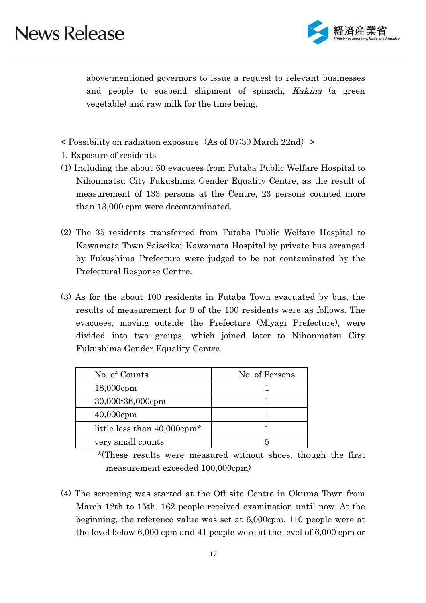

above mentioned governors to issue a request to relevant businesses and people to suspend shipment of spinach, *Kakina* (a green vegetable) and raw milk for the time being.

- $\leq$  Possibility on radiation exposure (As of 07:30 March 22nd)  $\geq$
- 1. Exposure of residents
- (1) Including the about 60 evacues from Futaba Public Welfare Hospital to Nihonmatsu City Fukushima Gender Equality Centre, as the result of measurement of 133 persons at the Centre, 23 persons counted more than 13,000 cpm were decontaminated.
- (2) The 35 residents transferred from Futaba Public Welfare Hospital to Kawamata Town Saiseikai Kawamata Hospital by private bus arranged by Fukushima Prefecture were judged to be not contaminated by the Prefectural Response Centre.
- (3) As for the about 100 residents in Futaba Town evacuated by bus, the results of measurement for 9 of the 100 residents were as follows. The evacuees, moving outside the Prefecture (Miyagi Prefecture), were divided into two groups, which joined later to Nihonmatsu City Fukushima Gender Equality Centre.

| No. of Counts                           | No. of Persons |
|-----------------------------------------|----------------|
| $18,000$ cpm                            |                |
| 30,000-36,000cpm                        |                |
| $40,000$ cpm                            |                |
| little less than 40,000cpm <sup>*</sup> |                |
| very small counts                       |                |

<sup>\*(</sup>These results were measured without shoes, though the first measurement exceeded 100,000cpm)

(4) The screening was started at the Off site Centre in Okuma Town from March 12th to 15th, 162 people received examination until now. At the beginning, the reference value was set at  $6,000$ cpm. 110 people were at the level below  $6,000$  cpm and 41 people were at the level of  $6,000$  cpm or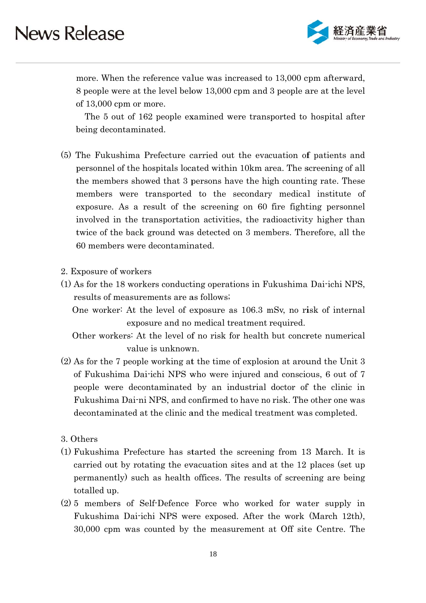

more. When the reference value was increased to 13,000 cpm afterward, 8 people were at the level below 13,000 cpm and 3 people are at the level of  $13,000$  cpm or more.

The 5 out of 162 people examined were transported to hospital after being decontaminated.

- (5) The Fukushima Prefecture carried out the evacuation of patients and personnel of the hospitals located within 10km area. The screening of all the members showed that 3 persons have the high counting rate. These members were transported to the secondary medical institute of exposure. As a result of the screening on 60 fire fighting personnel involved in the transportation activities, the radioactivity higher than twice of the back ground was detected on 3 members. Therefore, all the 60 members were decontaminated.
- 2. Exposure of workers
- (1) As for the 18 workers conducting operations in Fukushima Dai-ichi NPS, results of measurements are as follows;

One worker: At the level of exposure as 106.3 mSv, no risk of internal exposure and no medical treatment required.

- Other workers: At the level of no risk for health but concrete numerical value is unknown.
- $(2)$  As for the 7 people working at the time of explosion at around the Unit 3 of Fukushima Dai-ichi NPS who were injured and conscious, 6 out of 7 people were decontaminated by an industrial doctor of the clinic in Fukushima Dai-ni NPS, and confirmed to have no risk. The other one was decontaminated at the clinic and the medical treatment was completed.
- 3. Others
- (1) Fukushima Prefecture has started the screening from 13 March. It is carried out by rotating the evacuation sites and at the 12 places (set up) permanently) such as health offices. The results of screening are being totalled up.
- (2) 5 members of Self-Defence Force who worked for water supply in Fukushima Dai-ichi NPS were exposed. After the work (March 12th), 30,000 cpm was counted by the measurement at Off site Centre. The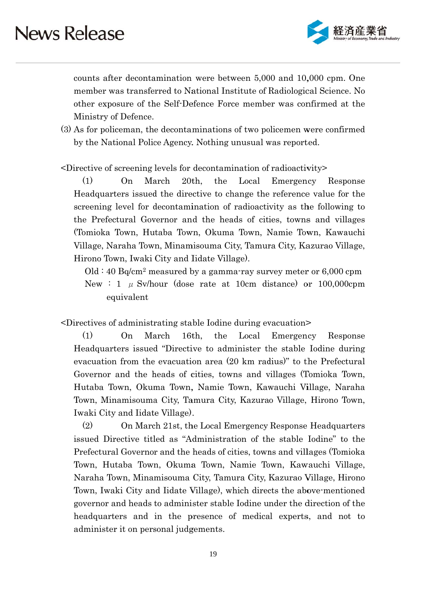

counts after decontamination were between 5,000 and 10,000 cpm. One member was transferred to National Institute of Radiological Science. No other exposure of the Self-Defence Force member was confirmed at the Ministry of Defence.

(3) As for policeman, the decontaminations of two policemen were confirmed by the National Police Agency. Nothing unusual was reported.

Independence of screening levels for decontamination of radioactivity>

Headquarters issued the directive to change the reference value for the screening level for decontamination of radioactivity as the following to the Prefectural Governor and the heads of cities, towns and villages (Tomioka Town, Hutaba Town, Okuma Town, Namie Town, Kawauchi Village, Naraha Town, Minamisouma City, Tamura City, Kazurao Village, Hirono Town, Iwaki City and Iidate Village). (1) On Ma arch 20t  $20th$ , the Local **Emergency** ncy Resp ponse

Old  $\div$  40 Bq/cm<sup>2</sup> measured by a gamma-ray survey meter or 6,000 cpm New : 1  $\mu$  Sv/hour (dose rate at 10cm distance) or 100,000cpm eq quivalent

<Directives of administrating stable Iodine during evacuation>

Headquarters issued "Directive to administer the stable Iodine during evacuation from the evacuation area (20 km radius)" to the Prefectural Governor and the heads of cities, towns and villages (Tomioka Town, Hutaba Town, Okuma Town, Namie Town, Kawauchi Village, Naraha Town, Minamisouma City, Tamura City, Kazurao Village, Hirono Town, Iwaki City and Iidate Village). (1) On Ma arch 16t 16th, the Local **Emergency** ncy Resp ponse

issued Directive titled as "Administration of the stable Iodine" to the Prefectural Governor and the heads of cities, towns and villages (Tomioka Town, Hutaba Town, Okuma Town, Namie Town, Kawauchi Village, Naraha Town, Minamisouma City, Tamura City, Kazurao Village, Hirono Town, Iwaki City and Iidate Village), which directs the above-mentioned governor and heads to administer stable Iodine under the direction of the headquarters and in the presence of medical experts, and not to administer it on personal judgements. (2) On March 21st, the Local Emergency Response Headquarters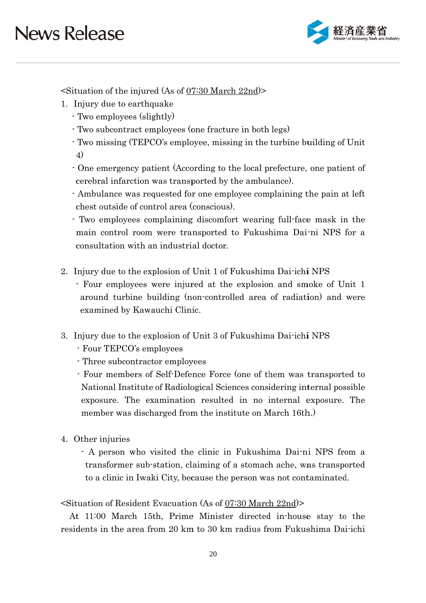

 $\leq$ Situation of the injured (As of 07:30 March 22nd)

- 1. Injury due to earthquake
	- Two employees (slightly)
	- Two subcontract employees (one fracture in both legs)
	- Two missing (TEPCO's employee, missing in the turbine building of Unit 4)
	- One emergency patient (According to the local prefecture, one patient of cerebral infarction was transported by the ambulance).
	- Ambulance was requested for one employee complaining the pain at left chest outside of control area (conscious).
	- Two employees complaining discomfort wearing full-face mask in the main control room were transported to Fukushima Dai-ni NPS for a consultation with an industrial doctor.
- 2. Injury due to the explosion of Unit 1 of Fukushima Dai-ichi NPS
	- Four employees were injured at the explosion and smoke of Unit 1 around turbine building (non-controlled area of radiation) and were examined by Kawauchi Clinic.
- 3. Injury due to the explosion of Unit 3 of Fukushima Dai-ichi NPS
	- Four TEPCO's employees
	- Three subcontractor employees
	- Four members of Self-Defence Force (one of them was transported to National Institute of Radiological Sciences considering internal possible exposure. The examination resulted in no internal exposure. The member was discharged from the institute on March 16th.)
- 4. Other injuries

A person who visited the clinic in Fukushima Dai-ni NPS from a transformer sub-station, claiming of a stomach ache, was transported to a clinic in Iwaki City, because the person was not contaminated.

#### Situation of Resident Evacuation (As of 07:30 March 22nd)

At 11:00 March 15th, Prime Minister directed in-house stay to the residents in the area from 20 km to 30 km radius from Fukushima Dai-ichi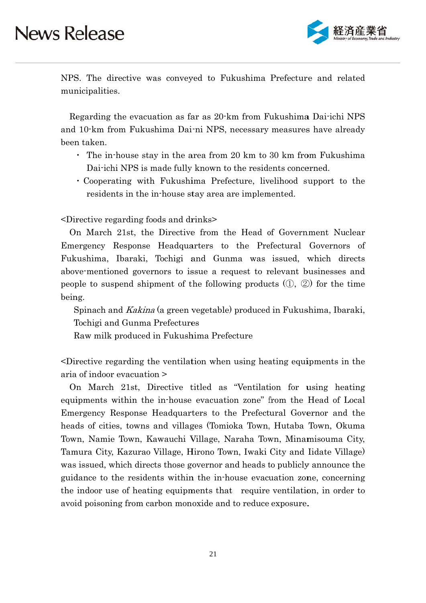

NPS. The directive was conveyed to Fukushima Prefecture and related municipalities.

Regarding the evacuation as far as 20 km from Fukushima Dai-ichi NPS and 10<sup>-</sup>km from Fukushima Dai-ni NPS, necessary measures have already been taken.

- The in-house stay in the area from 20 km to 30 km from Fukushima Dai-ichi NPS is made fully known to the residents concerned.
- Cooperating with Fukushima Prefecture, livelihood support to the residents in the in-house stay area are implemented.

<Directive regarding foods and drinks>

On March 21st, the Directive from the Head of Government Nuclear Emergency Response Headquarters to the Prefectural Governors of Fukushima, Ibaraki, Tochigi and Gunma was issued, which directs above mentioned governors to issue a request to relevant businesses and people to suspend shipment of the following products  $(1, 2)$  for the time being.

Spinach and *Kakina* (a green vegetable) produced in Fukushima, Ibaraki, Tochigi and Gunma Prefectures

Raw milk produced in Fukushima Prefecture

-Directive regarding the ventilation when using heating equipments in the aria of indoor evacuation >

On March 21st, Directive titled as "Ventilation for using heating equipments within the in-house evacuation zone" from the Head of Local Emergency Response Headquarters to the Prefectural Governor and the heads of cities, towns and villages (Tomioka Town, Hutaba Town, Okuma Town, Namie Town, Kawauchi Village, Naraha Town, Minamisouma City, Tamura City, Kazurao Village, Hirono Town, Iwaki City and Iidate Village) was issued, which directs those governor and heads to publicly announce the guidance to the residents within the in-house evacuation zone, concerning the indoor use of heating equipments that require ventilation, in order to avoid poisoning from carbon monoxide and to reduce exposure.